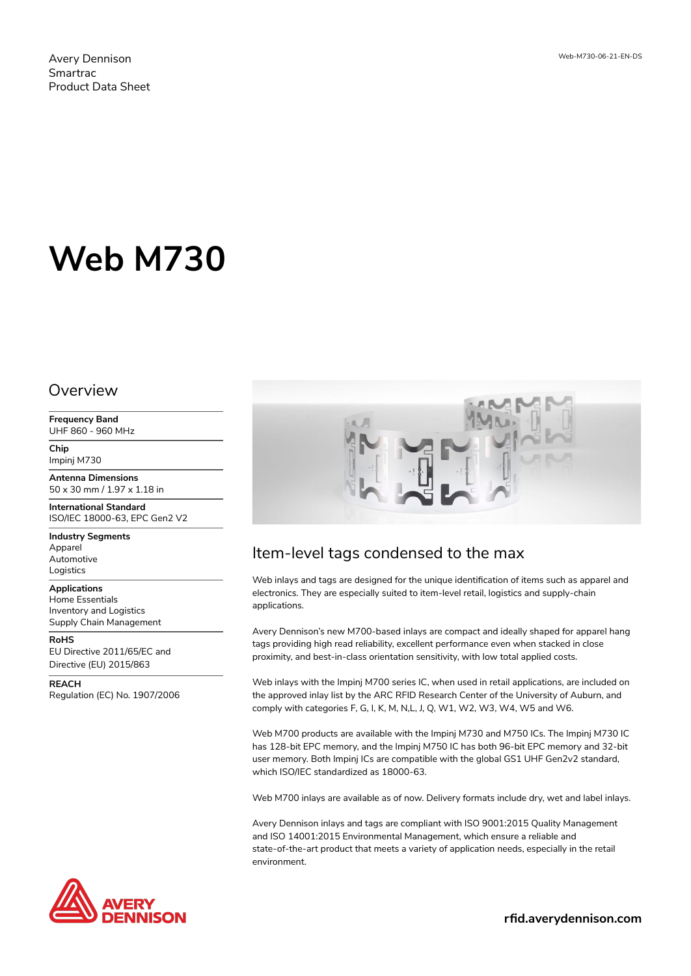Avery Dennison Smartrac Product Data Sheet

# **Web M730**

#### Overview

**Frequency Band** UHF 860 - 960 MHz

**Chip** Impinj M730

**Antenna Dimensions** 50 x 30 mm / 1.97 x 1.18 in

**International Standard** ISO/IEC 18000-63, EPC Gen2 V2

**Industry Segments** Apparel Automotive Logistics

**Applications** Home Essentials Inventory and Logistics Supply Chain Management

**RoHS** EU Directive 2011/65/EC and Directive (EU) 2015/863

**REACH** Regulation (EC) No. 1907/2006





# Item-level tags condensed to the max

Web inlays and tags are designed for the unique identification of items such as apparel and electronics. They are especially suited to item-level retail, logistics and supply-chain applications.

Avery Dennison's new M700-based inlays are compact and ideally shaped for apparel hang tags providing high read reliability, excellent performance even when stacked in close proximity, and best-in-class orientation sensitivity, with low total applied costs.

Web inlays with the Impinj M700 series IC, when used in retail applications, are included on the approved inlay list by the ARC RFID Research Center of the University of Auburn, and comply with categories F, G, I, K, M, N,L, J, Q, W1, W2, W3, W4, W5 and W6.

Web M700 products are available with the Impinj M730 and M750 ICs. The Impinj M730 IC has 128-bit EPC memory, and the Impinj M750 IC has both 96-bit EPC memory and 32-bit user memory. Both Impinj ICs are compatible with the global GS1 UHF Gen2v2 standard, which ISO/IEC standardized as 18000-63.

Web M700 inlays are available as of now. Delivery formats include dry, wet and label inlays.

Avery Dennison inlays and tags are compliant with ISO 9001:2015 Quality Management and ISO 14001:2015 Environmental Management, which ensure a reliable and state-of-the-art product that meets a variety of application needs, especially in the retail environment.